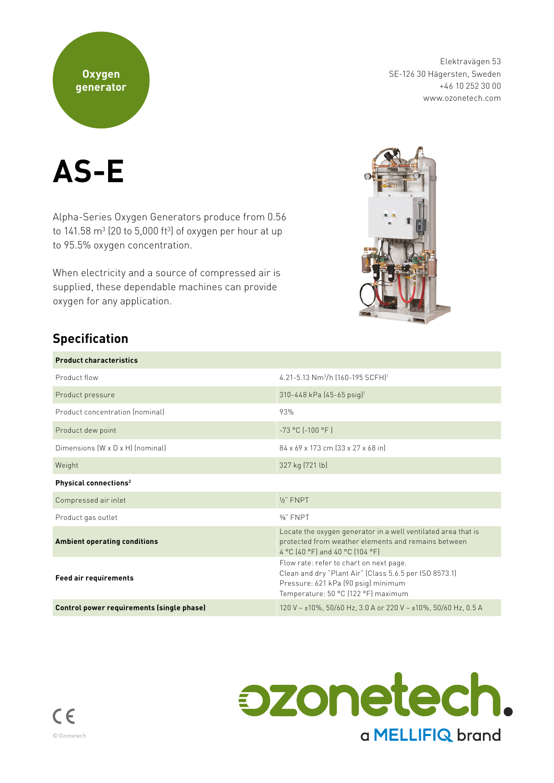### **Oxygen generator**

Elektravägen 53 SE-126 30 Hägersten, Sweden +46 10 252 30 00 www.ozonetech.com



Alpha-Series Oxygen Generators produce from 0.56 to 141.58 m $^3$  (20 to 5,000 ft $^3$ ) of oxygen per hour at up to 95.5% oxygen concentration.

When electricity and a source of compressed air is supplied, these dependable machines can provide oxygen for any application.



## **Specification**

| <b>Product characteristics</b>            |                                                                                                                                                                                 |  |
|-------------------------------------------|---------------------------------------------------------------------------------------------------------------------------------------------------------------------------------|--|
| Product flow                              | 4.21-5.13 Nm <sup>3</sup> /h (160-195 SCFH) <sup>1</sup>                                                                                                                        |  |
| Product pressure                          | 310-448 kPa (45-65 psig) <sup>1</sup>                                                                                                                                           |  |
| Product concentration (nominal)           | 93%                                                                                                                                                                             |  |
| Product dew point                         | $-73 °C$ $(-100 °F)$                                                                                                                                                            |  |
| Dimensions (W x D x H) (nominal)          | 84 x 69 x 173 cm (33 x 27 x 68 in)                                                                                                                                              |  |
| Weight                                    | 327 kg (721 lb)                                                                                                                                                                 |  |
| Physical connections <sup>2</sup>         |                                                                                                                                                                                 |  |
| Compressed air inlet                      | $\frac{1}{2}$ FNPT                                                                                                                                                              |  |
| Product gas outlet                        | $3/s$ " FNPT                                                                                                                                                                    |  |
| <b>Ambient operating conditions</b>       | Locate the oxygen generator in a well ventilated area that is<br>protected from weather elements and remains between<br>4 °C (40 °F) and 40 °C (104 °F)                         |  |
| <b>Feed air requirements</b>              | Flow rate: refer to chart on next page.<br>Clean and dry "Plant Air" (Class 5.6.5 per ISO 8573.1)<br>Pressure: 621 kPa (90 psig) minimum<br>Temperature: 50 °C (122 °F) maximum |  |
| Control power requirements (single phase) | 120 V ~ ±10%, 50/60 Hz, 3.0 A or 220 V ~ ±10%, 50/60 Hz, 0.5 A                                                                                                                  |  |

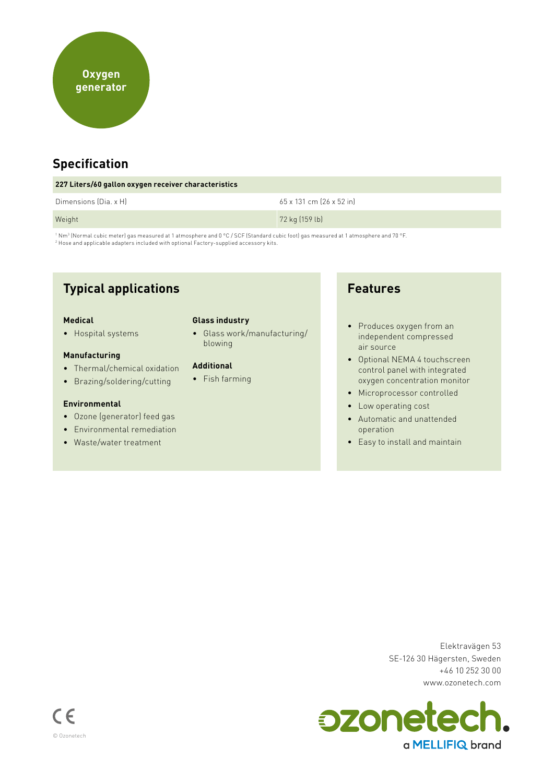

## **Specification**

| 227 Liters/60 gallon oxygen receiver characteristics |                          |  |
|------------------------------------------------------|--------------------------|--|
| Dimensions (Dia. x H)                                | 65 x 131 cm (26 x 52 in) |  |
| Weight                                               | 72 kg (159 lb)           |  |

' Nmª (Normal cubic meter) gas measured at 1 atmosphere and 0 °C / SCF (Standard cubic foot) gas measured at 1 atmosphere and 70 °F.<br><sup>2</sup> Hose and applicable adapters included with optional Factory-supplied accessory kits.

## **Typical applications**

#### **Medical**

• Hospital systems

#### **Manufacturing**

- Thermal/chemical oxidation
- Brazing/soldering/cutting

#### **Environmental**

- Ozone (generator) feed gas
- Environmental remediation
- Waste/water treatment

#### **Glass industry**

• Glass work/manufacturing/ blowing

#### **Additional**

• Fish farming

### **Features**

- Produces oxygen from an independent compressed air source
- Optional NEMA 4 touchscreen control panel with integrated oxygen concentration monitor
- Microprocessor controlled
- Low operating cost
- Automatic and unattended operation
- Easy to install and maintain

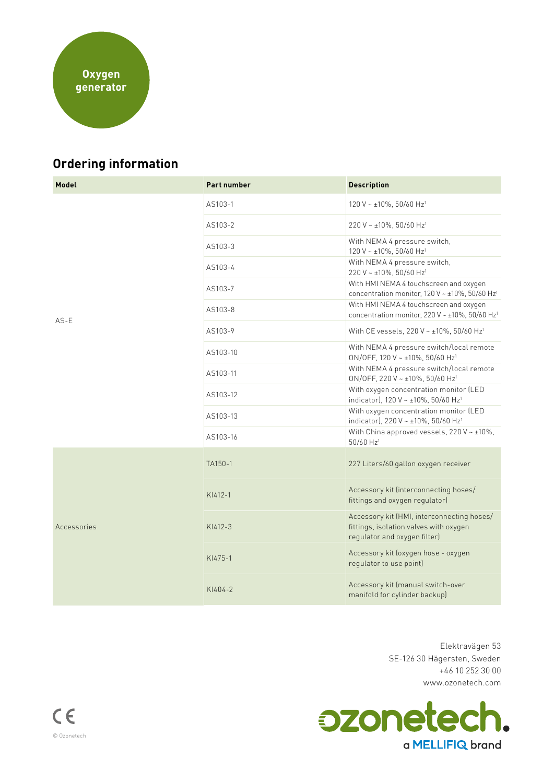

# **Ordering information**

| Model       | <b>Part number</b> | <b>Description</b>                                                                                                   |
|-------------|--------------------|----------------------------------------------------------------------------------------------------------------------|
| $AS-E$      | AS103-1            | 120 V ~ ±10%, 50/60 Hz <sup>1</sup>                                                                                  |
|             | AS103-2            | 220 V ~ ±10%, 50/60 Hz <sup>1</sup>                                                                                  |
|             | AS103-3            | With NEMA 4 pressure switch,<br>120 V ~ ±10%, 50/60 Hz <sup>1</sup>                                                  |
|             | AS103-4            | With NEMA 4 pressure switch,<br>220 V ~ ±10%, 50/60 Hz <sup>1</sup>                                                  |
|             | AS103-7            | With HMI NEMA 4 touchscreen and oxygen<br>concentration monitor, 120 V ~ ±10%, 50/60 Hz <sup>1</sup>                 |
|             | AS103-8            | With HMI NEMA 4 touchscreen and oxygen<br>concentration monitor, 220 V ~ ±10%, 50/60 Hz <sup>1</sup>                 |
|             | AS103-9            | With CE vessels, 220 V ~ ±10%, 50/60 Hz <sup>1</sup>                                                                 |
|             | AS103-10           | With NEMA 4 pressure switch/local remote<br>ON/OFF, 120 V ~ ±10%, 50/60 Hz <sup>1</sup>                              |
|             | AS103-11           | With NEMA 4 pressure switch/local remote<br>ON/OFF, 220 V ~ ±10%, 50/60 Hz <sup>1</sup>                              |
|             | AS103-12           | With oxygen concentration monitor (LED<br>indicator), 120 V ~ ±10%, 50/60 Hz <sup>1</sup>                            |
|             | AS103-13           | With oxygen concentration monitor (LED<br>indicator), 220 V ~ ±10%, 50/60 Hz <sup>1</sup>                            |
|             | AS103-16           | With China approved vessels, $220 V \sim \pm 10\%$ ,<br>50/60 Hz <sup>1</sup>                                        |
| Accessories | TA150-1            | 227 Liters/60 gallon oxygen receiver                                                                                 |
|             | $KI412-1$          | Accessory kit (interconnecting hoses/<br>fittings and oxygen regulator)                                              |
|             | $KI412-3$          | Accessory kit (HMI, interconnecting hoses/<br>fittings, isolation valves with oxygen<br>regulator and oxygen filter) |
|             | KI475-1            | Accessory kit (oxygen hose - oxygen<br>regulator to use point)                                                       |
|             | KI404-2            | Accessory kit (manual switch-over<br>manifold for cylinder backup)                                                   |

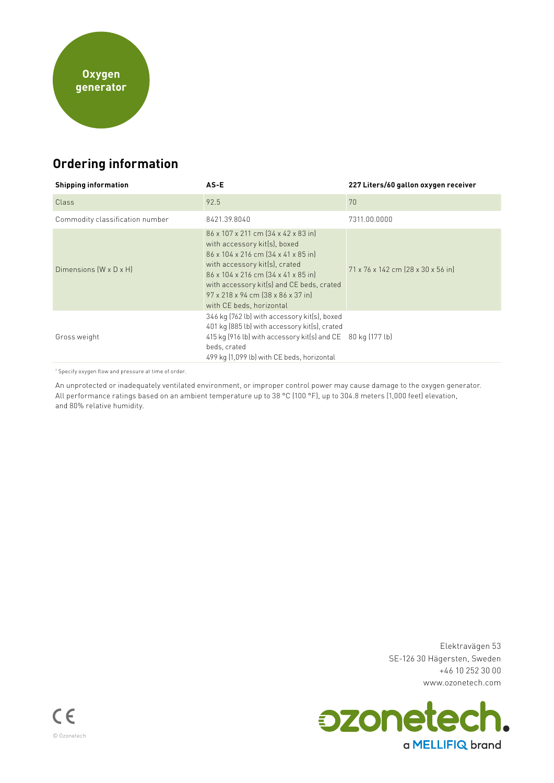# **Ordering information**

| <b>Shipping information</b>        | $AS-E$                                                                                                                                                                                                                                                                                                                    | 227 Liters/60 gallon oxygen receiver |
|------------------------------------|---------------------------------------------------------------------------------------------------------------------------------------------------------------------------------------------------------------------------------------------------------------------------------------------------------------------------|--------------------------------------|
| Class                              | 92.5                                                                                                                                                                                                                                                                                                                      | 70                                   |
| Commodity classification number    | 8421.39.8040                                                                                                                                                                                                                                                                                                              | 7311.00.0000                         |
| Dimensions $(W \times D \times H)$ | 86 x 107 x 211 cm (34 x 42 x 83 in)<br>with accessory kit(s), boxed<br>86 x 104 x 216 cm $\left[34 \times 41 \times 85 \right]$ in<br>with accessory kit(s), crated<br>86 x 104 x 216 cm [34 x 41 x 85 in]<br>with accessory kit(s) and CE beds, crated<br>97 x 218 x 94 cm (38 x 86 x 37 in)<br>with CE beds, horizontal | 71 x 76 x 142 cm (28 x 30 x 56 in)   |
| Gross weight                       | 346 kg (762 lb) with accessory kit(s), boxed<br>401 kg (885 lb) with accessory kit(s), crated<br>415 kg (916 lb) with accessory kit(s) and CE 80 kg (177 lb)<br>beds, crated<br>499 kg (1,099 lb) with CE beds, horizontal                                                                                                |                                      |

1 Specify oxygen flow and pressure at time of order.

An unprotected or inadequately ventilated environment, or improper control power may cause damage to the oxygen generator. All performance ratings based on an ambient temperature up to 38 °C (100 °F), up to 304.8 meters (1,000 feet) elevation, and 80% relative humidity.